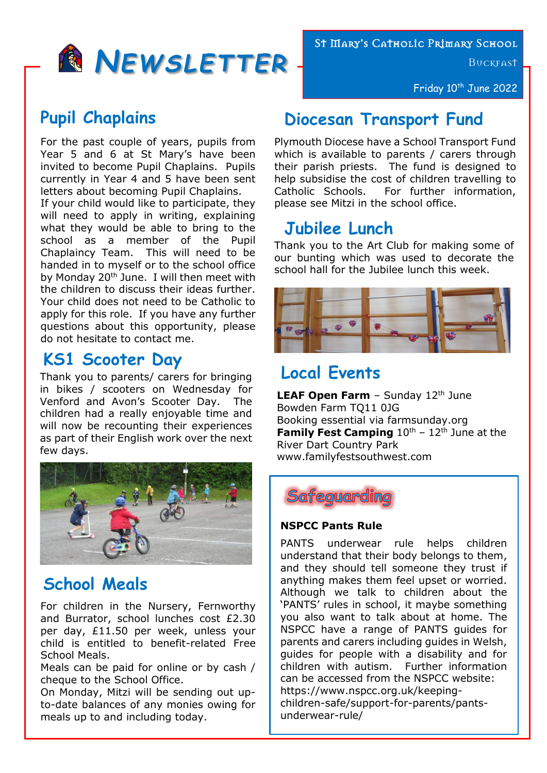

### **Pupil Chaplains**

For the past couple of years, pupils from Year 5 and 6 at St Mary's have been invited to become Pupil Chaplains. Pupils currently in Year 4 and 5 have been sent letters about becoming Pupil Chaplains.

If your child would like to participate, they will need to apply in writing, explaining what they would be able to bring to the school as a member of the Pupil Chaplaincy Team. This will need to be handed in to myself or to the school office by Monday 20<sup>th</sup> June. I will then meet with the children to discuss their ideas further. Your child does not need to be Catholic to apply for this role. If you have any further questions about this opportunity, please do not hesitate to contact me.

### **KS1 Scooter Day**

Thank you to parents/ carers for bringing in bikes / scooters on Wednesday for Venford and Avon's Scooter Day. The children had a really enjoyable time and will now be recounting their experiences as part of their English work over the next few days.



## **School Meals**

For children in the Nursery, Fernworthy and Burrator, school lunches cost £2.30 per day, £11.50 per week, unless your child is entitled to benefit-related Free School Meals.

Meals can be paid for online or by cash / cheque to the School Office.

On Monday, Mitzi will be sending out upto-date balances of any monies owing for meals up to and including today.

St Mary's Catholic Primary School

**BUCKFAST** 

Friday 10<sup>th</sup> June 2022

# **Diocesan Transport Fund**

Plymouth Diocese have a School Transport Fund which is available to parents / carers through their parish priests. The fund is designed to help subsidise the cost of children travelling to Catholic Schools. For further information, please see Mitzi in the school office.

## **Jubilee Lunch**

Thank you to the Art Club for making some of our bunting which was used to decorate the school hall for the Jubilee lunch this week.



## **Local Events**

LEAF Open Farm - Sunday 12<sup>th</sup> June Bowden Farm TQ11 0JG Booking essential via farmsunday.org **Family Fest Camping**  $10^{th}$  –  $12^{th}$  June at the River Dart Country Park www.familyfestsouthwest.com



#### **NSPCC Pants Rule**

PANTS underwear rule helps children understand that their body belongs to them, and they should tell someone they trust if anything makes them feel upset or worried. Although we talk to children about the 'PANTS' rules in school, it maybe something you also want to talk about at home. The NSPCC have a range of PANTS guides for parents and carers including guides in Welsh, guides for people with a disability and for children with autism. Further information can be accessed from the NSPCC website: https://www.nspcc.org.uk/keepingchildren-safe/support-for-parents/pantsunderwear-rule/